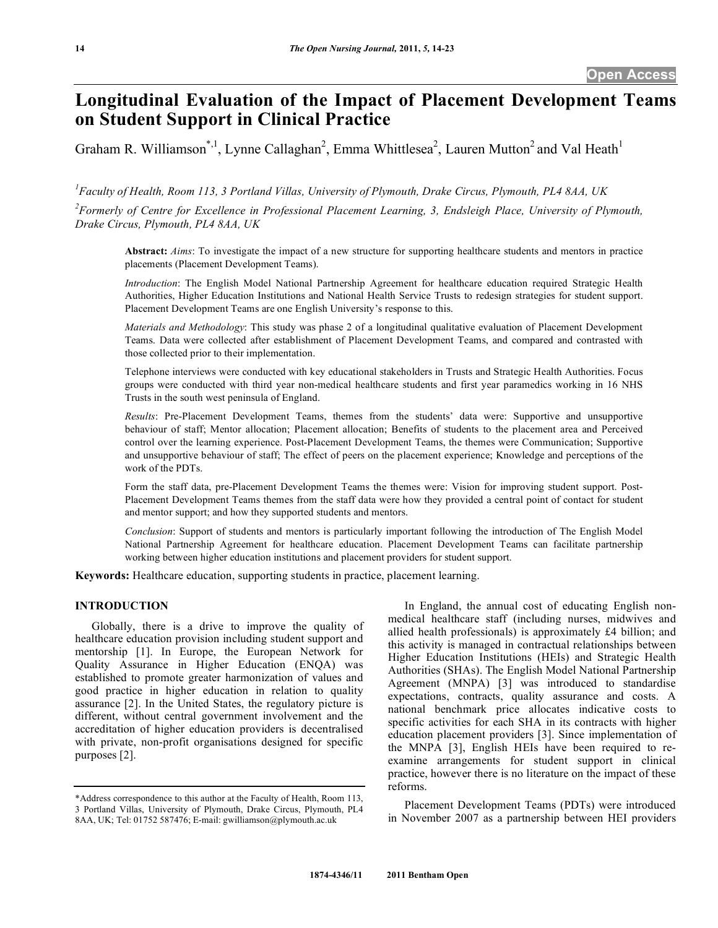# **Longitudinal Evaluation of the Impact of Placement Development Teams on Student Support in Clinical Practice**

Graham R. Williamson\*,<sup>1</sup>, Lynne Callaghan<sup>2</sup>, Emma Whittlesea<sup>2</sup>, Lauren Mutton<sup>2</sup> and Val Heath<sup>1</sup>

*1 Faculty of Health, Room 113, 3 Portland Villas, University of Plymouth, Drake Circus, Plymouth, PL4 8AA, UK* 

*2 Formerly of Centre for Excellence in Professional Placement Learning, 3, Endsleigh Place, University of Plymouth, Drake Circus, Plymouth, PL4 8AA, UK* 

**Abstract:** *Aims*: To investigate the impact of a new structure for supporting healthcare students and mentors in practice placements (Placement Development Teams).

*Introduction*: The English Model National Partnership Agreement for healthcare education required Strategic Health Authorities, Higher Education Institutions and National Health Service Trusts to redesign strategies for student support. Placement Development Teams are one English University's response to this.

*Materials and Methodology*: This study was phase 2 of a longitudinal qualitative evaluation of Placement Development Teams. Data were collected after establishment of Placement Development Teams, and compared and contrasted with those collected prior to their implementation.

Telephone interviews were conducted with key educational stakeholders in Trusts and Strategic Health Authorities. Focus groups were conducted with third year non-medical healthcare students and first year paramedics working in 16 NHS Trusts in the south west peninsula of England.

*Results*: Pre-Placement Development Teams, themes from the students' data were: Supportive and unsupportive behaviour of staff; Mentor allocation; Placement allocation; Benefits of students to the placement area and Perceived control over the learning experience. Post-Placement Development Teams, the themes were Communication; Supportive and unsupportive behaviour of staff; The effect of peers on the placement experience; Knowledge and perceptions of the work of the PDTs.

Form the staff data, pre-Placement Development Teams the themes were: Vision for improving student support. Post-Placement Development Teams themes from the staff data were how they provided a central point of contact for student and mentor support; and how they supported students and mentors.

*Conclusion*: Support of students and mentors is particularly important following the introduction of The English Model National Partnership Agreement for healthcare education. Placement Development Teams can facilitate partnership working between higher education institutions and placement providers for student support.

**Keywords:** Healthcare education, supporting students in practice, placement learning.

# **INTRODUCTION**

 Globally, there is a drive to improve the quality of healthcare education provision including student support and mentorship [1]. In Europe, the European Network for Quality Assurance in Higher Education (ENQA) was established to promote greater harmonization of values and good practice in higher education in relation to quality assurance [2]. In the United States, the regulatory picture is different, without central government involvement and the accreditation of higher education providers is decentralised with private, non-profit organisations designed for specific purposes [2].

 In England, the annual cost of educating English nonmedical healthcare staff (including nurses, midwives and allied health professionals) is approximately £4 billion; and this activity is managed in contractual relationships between Higher Education Institutions (HEIs) and Strategic Health Authorities (SHAs). The English Model National Partnership Agreement (MNPA) [3] was introduced to standardise expectations, contracts, quality assurance and costs. A national benchmark price allocates indicative costs to specific activities for each SHA in its contracts with higher education placement providers [3]. Since implementation of the MNPA [3], English HEIs have been required to reexamine arrangements for student support in clinical practice, however there is no literature on the impact of these reforms.

 Placement Development Teams (PDTs) were introduced in November 2007 as a partnership between HEI providers

<sup>\*</sup>Address correspondence to this author at the Faculty of Health, Room 113, 3 Portland Villas, University of Plymouth, Drake Circus, Plymouth, PL4 8AA, UK; Tel: 01752 587476; E-mail: gwilliamson@plymouth.ac.uk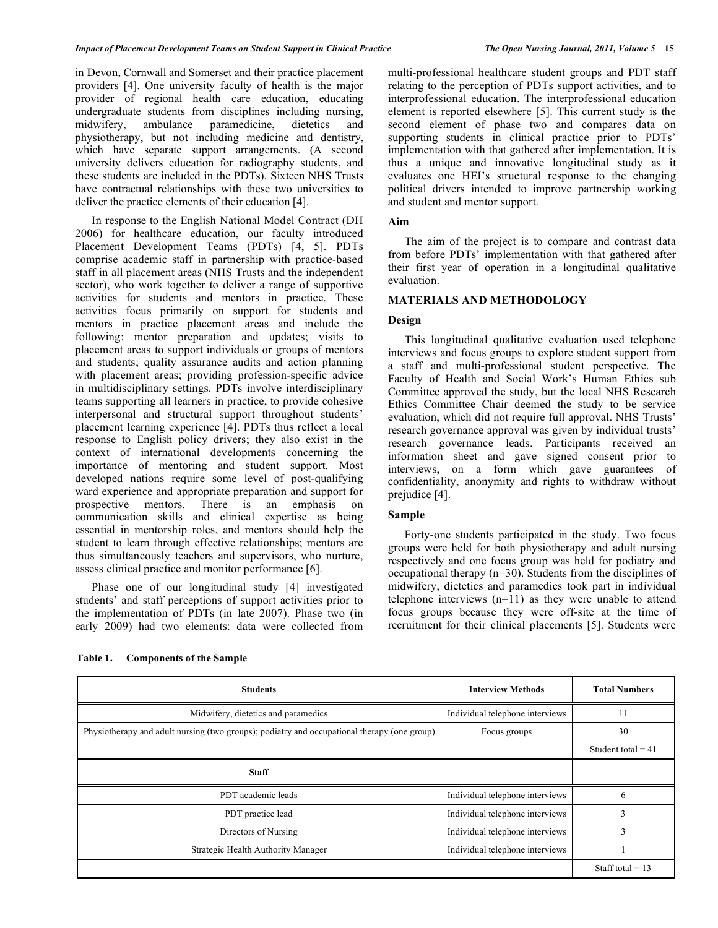in Devon, Cornwall and Somerset and their practice placement providers [4]. One university faculty of health is the major provider of regional health care education, educating undergraduate students from disciplines including nursing, midwifery, ambulance paramedicine, dietetics and physiotherapy, but not including medicine and dentistry, which have separate support arrangements. (A second university delivers education for radiography students, and these students are included in the PDTs). Sixteen NHS Trusts have contractual relationships with these two universities to deliver the practice elements of their education [4].

 In response to the English National Model Contract (DH 2006) for healthcare education, our faculty introduced Placement Development Teams (PDTs) [4, 5]. PDTs comprise academic staff in partnership with practice-based staff in all placement areas (NHS Trusts and the independent sector), who work together to deliver a range of supportive activities for students and mentors in practice. These activities focus primarily on support for students and mentors in practice placement areas and include the following: mentor preparation and updates; visits to placement areas to support individuals or groups of mentors and students; quality assurance audits and action planning with placement areas; providing profession-specific advice in multidisciplinary settings. PDTs involve interdisciplinary teams supporting all learners in practice, to provide cohesive interpersonal and structural support throughout students' placement learning experience [4]. PDTs thus reflect a local response to English policy drivers; they also exist in the context of international developments concerning the importance of mentoring and student support. Most developed nations require some level of post-qualifying ward experience and appropriate preparation and support for prospective mentors. There is an emphasis on communication skills and clinical expertise as being essential in mentorship roles, and mentors should help the student to learn through effective relationships; mentors are thus simultaneously teachers and supervisors, who nurture, assess clinical practice and monitor performance [6].

 Phase one of our longitudinal study [4] investigated students' and staff perceptions of support activities prior to the implementation of PDTs (in late 2007). Phase two (in early 2009) had two elements: data were collected from

multi-professional healthcare student groups and PDT staff relating to the perception of PDTs support activities, and to interprofessional education. The interprofessional education element is reported elsewhere [5]. This current study is the second element of phase two and compares data on supporting students in clinical practice prior to PDTs' implementation with that gathered after implementation. It is thus a unique and innovative longitudinal study as it evaluates one HEI's structural response to the changing political drivers intended to improve partnership working and student and mentor support.

#### **Aim**

 The aim of the project is to compare and contrast data from before PDTs' implementation with that gathered after their first year of operation in a longitudinal qualitative evaluation.

## **MATERIALS AND METHODOLOGY**

# **Design**

 This longitudinal qualitative evaluation used telephone interviews and focus groups to explore student support from a staff and multi-professional student perspective. The Faculty of Health and Social Work's Human Ethics sub Committee approved the study, but the local NHS Research Ethics Committee Chair deemed the study to be service evaluation, which did not require full approval. NHS Trusts' research governance approval was given by individual trusts' research governance leads. Participants received an information sheet and gave signed consent prior to interviews, on a form which gave guarantees of confidentiality, anonymity and rights to withdraw without prejudice [4].

# **Sample**

 Forty-one students participated in the study. Two focus groups were held for both physiotherapy and adult nursing respectively and one focus group was held for podiatry and occupational therapy (n=30). Students from the disciplines of midwifery, dietetics and paramedics took part in individual telephone interviews  $(n=11)$  as they were unable to attend focus groups because they were off-site at the time of recruitment for their clinical placements [5]. Students were

| <b>Students</b>                                                                             | <b>Interview Methods</b>        | <b>Total Numbers</b> |
|---------------------------------------------------------------------------------------------|---------------------------------|----------------------|
| Midwifery, dietetics and paramedics                                                         | Individual telephone interviews | 11                   |
| Physiotherapy and adult nursing (two groups); podiatry and occupational therapy (one group) | Focus groups                    | 30                   |
|                                                                                             |                                 | Student total = $41$ |
| <b>Staff</b>                                                                                |                                 |                      |
| PDT academic leads                                                                          | Individual telephone interviews | $\sigma$             |
| PDT practice lead                                                                           | Individual telephone interviews |                      |
| Directors of Nursing                                                                        | Individual telephone interviews | 3                    |
| Strategic Health Authority Manager                                                          | Individual telephone interviews |                      |
|                                                                                             |                                 | Staff total = $13$   |

**Table 1. Components of the Sample**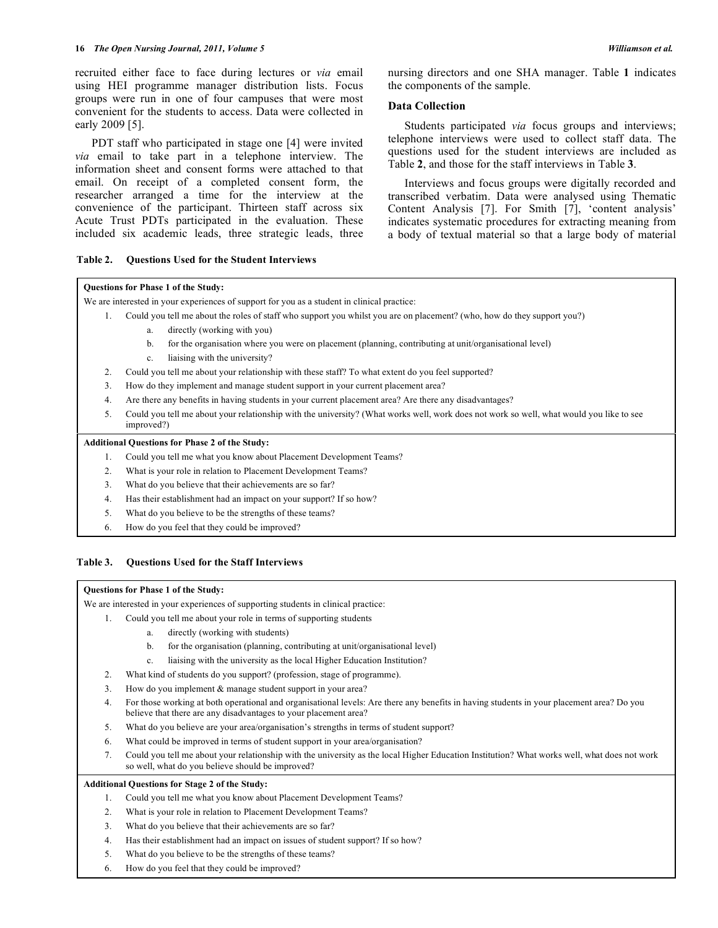#### **16** *The Open Nursing Journal, 2011, Volume 5 Williamson et al.*

recruited either face to face during lectures or *via* email using HEI programme manager distribution lists. Focus groups were run in one of four campuses that were most convenient for the students to access. Data were collected in early 2009 [5].

 PDT staff who participated in stage one [4] were invited *via* email to take part in a telephone interview. The information sheet and consent forms were attached to that email. On receipt of a completed consent form, the researcher arranged a time for the interview at the convenience of the participant. Thirteen staff across six Acute Trust PDTs participated in the evaluation. These included six academic leads, three strategic leads, three

#### **Table 2. Questions Used for the Student Interviews**

nursing directors and one SHA manager. Table **1** indicates the components of the sample.

# **Data Collection**

 Students participated *via* focus groups and interviews; telephone interviews were used to collect staff data. The questions used for the student interviews are included as Table **2**, and those for the staff interviews in Table **3**.

 Interviews and focus groups were digitally recorded and transcribed verbatim. Data were analysed using Thematic Content Analysis [7]. For Smith [7], 'content analysis' indicates systematic procedures for extracting meaning from a body of textual material so that a large body of material

## **Questions for Phase 1 of the Study:**

We are interested in your experiences of support for you as a student in clinical practice:

- 1. Could you tell me about the roles of staff who support you whilst you are on placement? (who, how do they support you?)
	- a. directly (working with you)
	- b. for the organisation where you were on placement (planning, contributing at unit/organisational level)
	- c. liaising with the university?
- 2. Could you tell me about your relationship with these staff? To what extent do you feel supported?
- 3. How do they implement and manage student support in your current placement area?
- 4. Are there any benefits in having students in your current placement area? Are there any disadvantages?
- 5. Could you tell me about your relationship with the university? (What works well, work does not work so well, what would you like to see improved?)

#### **Additional Questions for Phase 2 of the Study:**

- 1. Could you tell me what you know about Placement Development Teams?
- 2. What is your role in relation to Placement Development Teams?
- 3. What do you believe that their achievements are so far?
- 4. Has their establishment had an impact on your support? If so how?
- 5. What do you believe to be the strengths of these teams?
- 6. How do you feel that they could be improved?

#### **Table 3. Questions Used for the Staff Interviews**

#### **Questions for Phase 1 of the Study:**

We are interested in your experiences of supporting students in clinical practice:

- 1. Could you tell me about your role in terms of supporting students
	- a. directly (working with students)
	- b. for the organisation (planning, contributing at unit/organisational level)
	- c. liaising with the university as the local Higher Education Institution?
- 2. What kind of students do you support? (profession, stage of programme).
- 3. How do you implement & manage student support in your area?
- 4. For those working at both operational and organisational levels: Are there any benefits in having students in your placement area? Do you believe that there are any disadvantages to your placement area?
- 5. What do you believe are your area/organisation's strengths in terms of student support?
- 6. What could be improved in terms of student support in your area/organisation?
- 7. Could you tell me about your relationship with the university as the local Higher Education Institution? What works well, what does not work so well, what do you believe should be improved?

#### **Additional Questions for Stage 2 of the Study:**

- 1. Could you tell me what you know about Placement Development Teams?
- 2. What is your role in relation to Placement Development Teams?
- 3. What do you believe that their achievements are so far?
- 4. Has their establishment had an impact on issues of student support? If so how?
- 5. What do you believe to be the strengths of these teams?
- 6. How do you feel that they could be improved?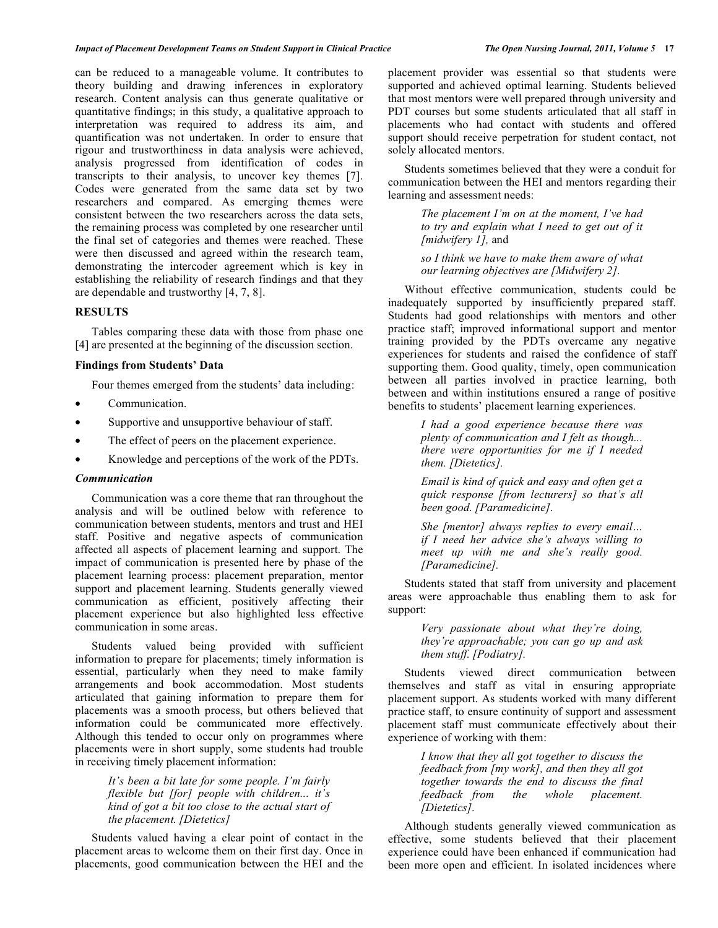can be reduced to a manageable volume. It contributes to theory building and drawing inferences in exploratory research. Content analysis can thus generate qualitative or quantitative findings; in this study, a qualitative approach to interpretation was required to address its aim, and quantification was not undertaken. In order to ensure that rigour and trustworthiness in data analysis were achieved, analysis progressed from identification of codes in transcripts to their analysis, to uncover key themes [7]. Codes were generated from the same data set by two researchers and compared. As emerging themes were consistent between the two researchers across the data sets, the remaining process was completed by one researcher until the final set of categories and themes were reached. These were then discussed and agreed within the research team, demonstrating the intercoder agreement which is key in establishing the reliability of research findings and that they are dependable and trustworthy [4, 7, 8].

## **RESULTS**

 Tables comparing these data with those from phase one [4] are presented at the beginning of the discussion section.

#### **Findings from Students' Data**

Four themes emerged from the students' data including:

- Communication.
- Supportive and unsupportive behaviour of staff.
- The effect of peers on the placement experience.
- Knowledge and perceptions of the work of the PDTs.

#### *Communication*

 Communication was a core theme that ran throughout the analysis and will be outlined below with reference to communication between students, mentors and trust and HEI staff. Positive and negative aspects of communication affected all aspects of placement learning and support. The impact of communication is presented here by phase of the placement learning process: placement preparation, mentor support and placement learning. Students generally viewed communication as efficient, positively affecting their placement experience but also highlighted less effective communication in some areas.

 Students valued being provided with sufficient information to prepare for placements; timely information is essential, particularly when they need to make family arrangements and book accommodation. Most students articulated that gaining information to prepare them for placements was a smooth process, but others believed that information could be communicated more effectively. Although this tended to occur only on programmes where placements were in short supply, some students had trouble in receiving timely placement information:

> *It's been a bit late for some people. I'm fairly flexible but [for] people with children... it's kind of got a bit too close to the actual start of the placement. [Dietetics]*

 Students valued having a clear point of contact in the placement areas to welcome them on their first day. Once in placements, good communication between the HEI and the

placement provider was essential so that students were supported and achieved optimal learning. Students believed that most mentors were well prepared through university and PDT courses but some students articulated that all staff in placements who had contact with students and offered support should receive perpetration for student contact, not solely allocated mentors.

 Students sometimes believed that they were a conduit for communication between the HEI and mentors regarding their learning and assessment needs:

> *The placement I'm on at the moment, I've had to try and explain what I need to get out of it [midwifery 1],* and

> *so I think we have to make them aware of what our learning objectives are [Midwifery 2].*

 Without effective communication, students could be inadequately supported by insufficiently prepared staff. Students had good relationships with mentors and other practice staff; improved informational support and mentor training provided by the PDTs overcame any negative experiences for students and raised the confidence of staff supporting them. Good quality, timely, open communication between all parties involved in practice learning, both between and within institutions ensured a range of positive benefits to students' placement learning experiences.

> *I had a good experience because there was plenty of communication and I felt as though... there were opportunities for me if I needed them. [Dietetics].*

> *Email is kind of quick and easy and often get a quick response [from lecturers] so that's all been good. [Paramedicine].*

> *She [mentor] always replies to every email… if I need her advice she's always willing to meet up with me and she's really good. [Paramedicine].*

 Students stated that staff from university and placement areas were approachable thus enabling them to ask for support:

> *Very passionate about what they're doing, they're approachable; you can go up and ask them stuff. [Podiatry].*

 Students viewed direct communication between themselves and staff as vital in ensuring appropriate placement support. As students worked with many different practice staff, to ensure continuity of support and assessment placement staff must communicate effectively about their experience of working with them:

> *I know that they all got together to discuss the feedback from [my work], and then they all got together towards the end to discuss the final feedback from the whole placement. [Dietetics].*

 Although students generally viewed communication as effective, some students believed that their placement experience could have been enhanced if communication had been more open and efficient. In isolated incidences where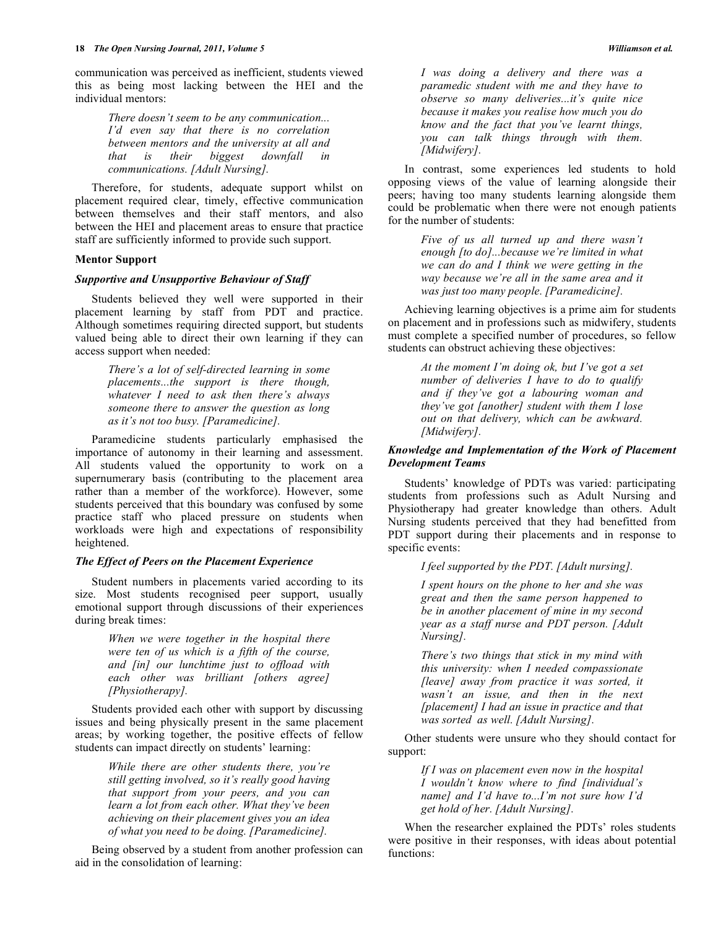communication was perceived as inefficient, students viewed this as being most lacking between the HEI and the individual mentors:

> *There doesn't seem to be any communication... I'd even say that there is no correlation between mentors and the university at all and that is their biggest downfall in communications. [Adult Nursing].*

 Therefore, for students, adequate support whilst on placement required clear, timely, effective communication between themselves and their staff mentors, and also between the HEI and placement areas to ensure that practice staff are sufficiently informed to provide such support.

## **Mentor Support**

#### *Supportive and Unsupportive Behaviour of Staff*

 Students believed they well were supported in their placement learning by staff from PDT and practice. Although sometimes requiring directed support, but students valued being able to direct their own learning if they can access support when needed:

> *There's a lot of self-directed learning in some placements...the support is there though, whatever I need to ask then there's always someone there to answer the question as long as it's not too busy. [Paramedicine].*

 Paramedicine students particularly emphasised the importance of autonomy in their learning and assessment. All students valued the opportunity to work on a supernumerary basis (contributing to the placement area rather than a member of the workforce). However, some students perceived that this boundary was confused by some practice staff who placed pressure on students when workloads were high and expectations of responsibility heightened.

## *The Effect of Peers on the Placement Experience*

 Student numbers in placements varied according to its size. Most students recognised peer support, usually emotional support through discussions of their experiences during break times:

> *When we were together in the hospital there were ten of us which is a fifth of the course, and [in] our lunchtime just to offload with each other was brilliant [others agree] [Physiotherapy].*

 Students provided each other with support by discussing issues and being physically present in the same placement areas; by working together, the positive effects of fellow students can impact directly on students' learning:

> *While there are other students there, you're still getting involved, so it's really good having that support from your peers, and you can learn a lot from each other. What they've been achieving on their placement gives you an idea of what you need to be doing. [Paramedicine].*

 Being observed by a student from another profession can aid in the consolidation of learning:

*I was doing a delivery and there was a paramedic student with me and they have to observe so many deliveries...it's quite nice because it makes you realise how much you do know and the fact that you've learnt things, you can talk things through with them. [Midwifery].* 

 In contrast, some experiences led students to hold opposing views of the value of learning alongside their peers; having too many students learning alongside them could be problematic when there were not enough patients for the number of students:

> *Five of us all turned up and there wasn't enough [to do]...because we're limited in what we can do and I think we were getting in the way because we're all in the same area and it was just too many people. [Paramedicine].*

 Achieving learning objectives is a prime aim for students on placement and in professions such as midwifery, students must complete a specified number of procedures, so fellow students can obstruct achieving these objectives:

> *At the moment I'm doing ok, but I've got a set number of deliveries I have to do to qualify and if they've got a labouring woman and they've got [another] student with them I lose out on that delivery, which can be awkward. [Midwifery].*

## *Knowledge and Implementation of the Work of Placement Development Teams*

 Students' knowledge of PDTs was varied: participating students from professions such as Adult Nursing and Physiotherapy had greater knowledge than others. Adult Nursing students perceived that they had benefitted from PDT support during their placements and in response to specific events:

*I feel supported by the PDT. [Adult nursing].* 

*I spent hours on the phone to her and she was great and then the same person happened to be in another placement of mine in my second year as a staff nurse and PDT person. [Adult Nursing].* 

*There's two things that stick in my mind with this university: when I needed compassionate [leave] away from practice it was sorted, it wasn't an issue, and then in the next [placement] I had an issue in practice and that was sorted as well. [Adult Nursing].* 

 Other students were unsure who they should contact for support:

> *If I was on placement even now in the hospital I wouldn't know where to find [individual's name] and I'd have to...I'm not sure how I'd get hold of her. [Adult Nursing].*

 When the researcher explained the PDTs' roles students were positive in their responses, with ideas about potential functions: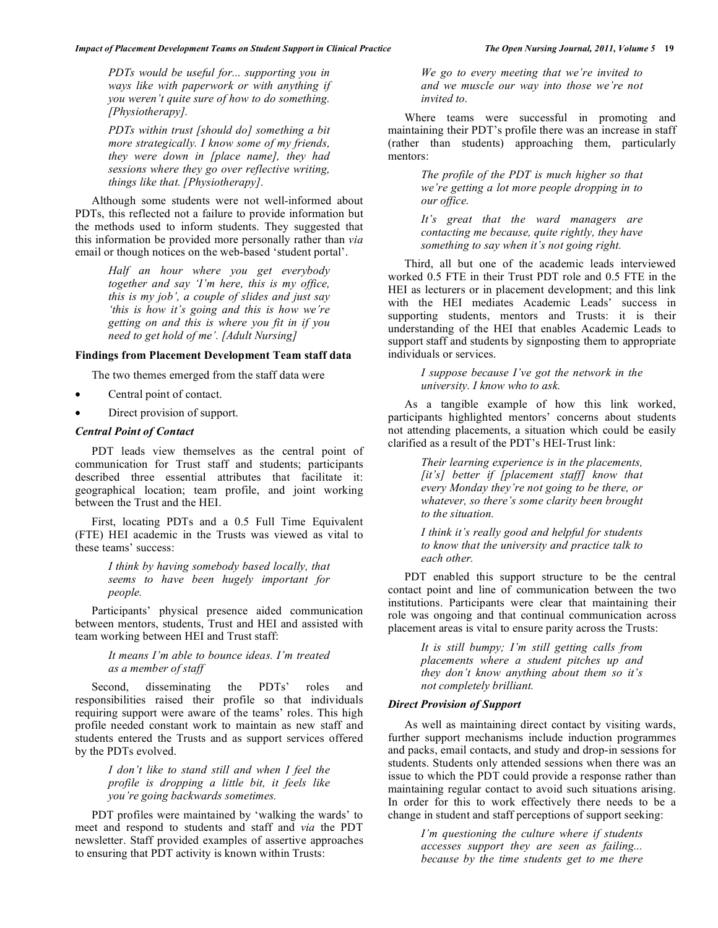*PDTs would be useful for... supporting you in ways like with paperwork or with anything if you weren't quite sure of how to do something. [Physiotherapy].* 

*PDTs within trust [should do] something a bit more strategically. I know some of my friends, they were down in [place name], they had sessions where they go over reflective writing, things like that. [Physiotherapy].* 

 Although some students were not well-informed about PDTs, this reflected not a failure to provide information but the methods used to inform students. They suggested that this information be provided more personally rather than *via*  email or though notices on the web-based 'student portal'.

> *Half an hour where you get everybody together and say 'I'm here, this is my office, this is my job', a couple of slides and just say 'this is how it's going and this is how we're getting on and this is where you fit in if you need to get hold of me'. [Adult Nursing]*

#### **Findings from Placement Development Team staff data**

The two themes emerged from the staff data were

- Central point of contact.
- Direct provision of support.

# *Central Point of Contact*

 PDT leads view themselves as the central point of communication for Trust staff and students; participants described three essential attributes that facilitate it: geographical location; team profile, and joint working between the Trust and the HEI.

 First, locating PDTs and a 0.5 Full Time Equivalent (FTE) HEI academic in the Trusts was viewed as vital to these teams' success:

> *I think by having somebody based locally, that seems to have been hugely important for people.*

 Participants' physical presence aided communication between mentors, students, Trust and HEI and assisted with team working between HEI and Trust staff:

> *It means I'm able to bounce ideas. I'm treated as a member of staff*

 Second, disseminating the PDTs' roles and responsibilities raised their profile so that individuals requiring support were aware of the teams' roles. This high profile needed constant work to maintain as new staff and students entered the Trusts and as support services offered by the PDTs evolved.

> *I don't like to stand still and when I feel the profile is dropping a little bit, it feels like you're going backwards sometimes.*

 PDT profiles were maintained by 'walking the wards' to meet and respond to students and staff and *via* the PDT newsletter. Staff provided examples of assertive approaches to ensuring that PDT activity is known within Trusts:

*We go to every meeting that we're invited to and we muscle our way into those we're not invited to.* 

 Where teams were successful in promoting and maintaining their PDT's profile there was an increase in staff (rather than students) approaching them, particularly mentors:

> *The profile of the PDT is much higher so that we're getting a lot more people dropping in to our office.*

> *It's great that the ward managers are contacting me because, quite rightly, they have something to say when it's not going right.*

 Third, all but one of the academic leads interviewed worked 0.5 FTE in their Trust PDT role and 0.5 FTE in the HEI as lecturers or in placement development; and this link with the HEI mediates Academic Leads' success in supporting students, mentors and Trusts: it is their understanding of the HEI that enables Academic Leads to support staff and students by signposting them to appropriate individuals or services.

> *I suppose because I've got the network in the university. I know who to ask.*

 As a tangible example of how this link worked, participants highlighted mentors' concerns about students not attending placements, a situation which could be easily clarified as a result of the PDT's HEI-Trust link:

> *Their learning experience is in the placements, [it's] better if [placement staff] know that every Monday they're not going to be there, or whatever, so there's some clarity been brought to the situation.*

> *I think it's really good and helpful for students to know that the university and practice talk to each other.*

 PDT enabled this support structure to be the central contact point and line of communication between the two institutions. Participants were clear that maintaining their role was ongoing and that continual communication across placement areas is vital to ensure parity across the Trusts:

> *It is still bumpy; I'm still getting calls from placements where a student pitches up and they don't know anything about them so it's not completely brilliant.*

#### *Direct Provision of Support*

 As well as maintaining direct contact by visiting wards, further support mechanisms include induction programmes and packs, email contacts, and study and drop-in sessions for students. Students only attended sessions when there was an issue to which the PDT could provide a response rather than maintaining regular contact to avoid such situations arising. In order for this to work effectively there needs to be a change in student and staff perceptions of support seeking:

> *I'm questioning the culture where if students accesses support they are seen as failing... because by the time students get to me there*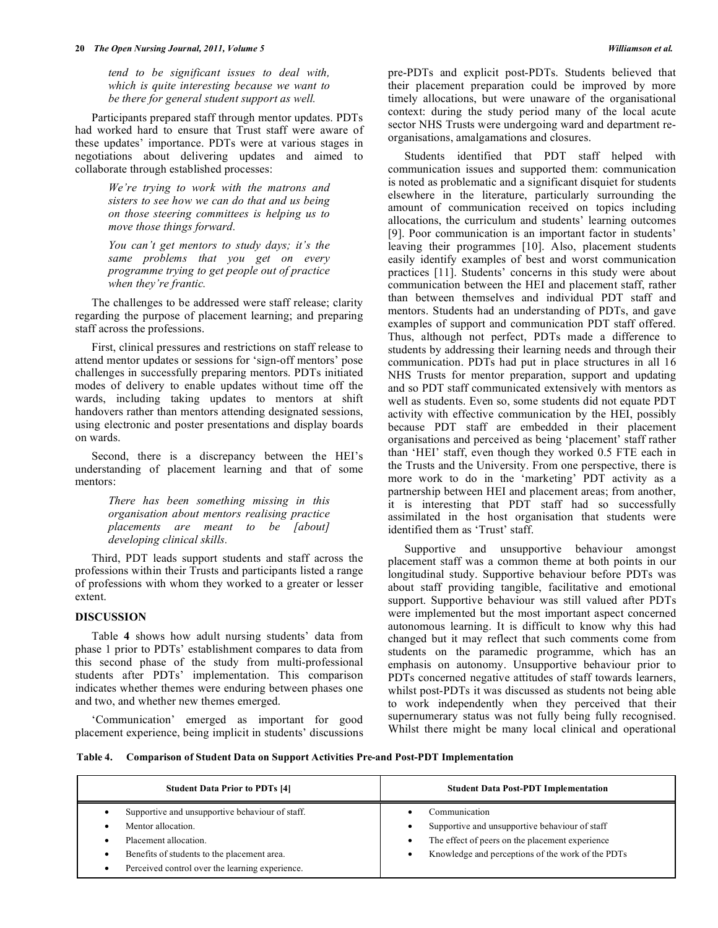*tend to be significant issues to deal with, which is quite interesting because we want to be there for general student support as well.* 

 Participants prepared staff through mentor updates. PDTs had worked hard to ensure that Trust staff were aware of these updates' importance. PDTs were at various stages in negotiations about delivering updates and aimed to collaborate through established processes:

> *We're trying to work with the matrons and sisters to see how we can do that and us being on those steering committees is helping us to move those things forward.*

> *You can't get mentors to study days; it's the same problems that you get on every programme trying to get people out of practice when they're frantic.*

 The challenges to be addressed were staff release; clarity regarding the purpose of placement learning; and preparing staff across the professions.

 First, clinical pressures and restrictions on staff release to attend mentor updates or sessions for 'sign-off mentors' pose challenges in successfully preparing mentors. PDTs initiated modes of delivery to enable updates without time off the wards, including taking updates to mentors at shift handovers rather than mentors attending designated sessions, using electronic and poster presentations and display boards on wards.

 Second, there is a discrepancy between the HEI's understanding of placement learning and that of some mentors:

> *There has been something missing in this organisation about mentors realising practice placements are meant to be [about] developing clinical skills.*

 Third, PDT leads support students and staff across the professions within their Trusts and participants listed a range of professions with whom they worked to a greater or lesser extent.

## **DISCUSSION**

 Table **4** shows how adult nursing students' data from phase 1 prior to PDTs' establishment compares to data from this second phase of the study from multi-professional students after PDTs' implementation. This comparison indicates whether themes were enduring between phases one and two, and whether new themes emerged.

 'Communication' emerged as important for good placement experience, being implicit in students' discussions pre-PDTs and explicit post-PDTs. Students believed that their placement preparation could be improved by more timely allocations, but were unaware of the organisational context: during the study period many of the local acute sector NHS Trusts were undergoing ward and department reorganisations, amalgamations and closures.

 Students identified that PDT staff helped with communication issues and supported them: communication is noted as problematic and a significant disquiet for students elsewhere in the literature, particularly surrounding the amount of communication received on topics including allocations, the curriculum and students' learning outcomes [9]. Poor communication is an important factor in students' leaving their programmes [10]. Also, placement students easily identify examples of best and worst communication practices [11]. Students' concerns in this study were about communication between the HEI and placement staff, rather than between themselves and individual PDT staff and mentors. Students had an understanding of PDTs, and gave examples of support and communication PDT staff offered. Thus, although not perfect, PDTs made a difference to students by addressing their learning needs and through their communication. PDTs had put in place structures in all 16 NHS Trusts for mentor preparation, support and updating and so PDT staff communicated extensively with mentors as well as students. Even so, some students did not equate PDT activity with effective communication by the HEI, possibly because PDT staff are embedded in their placement organisations and perceived as being 'placement' staff rather than 'HEI' staff, even though they worked 0.5 FTE each in the Trusts and the University. From one perspective, there is more work to do in the 'marketing' PDT activity as a partnership between HEI and placement areas; from another, it is interesting that PDT staff had so successfully assimilated in the host organisation that students were identified them as 'Trust' staff.

 Supportive and unsupportive behaviour amongst placement staff was a common theme at both points in our longitudinal study. Supportive behaviour before PDTs was about staff providing tangible, facilitative and emotional support. Supportive behaviour was still valued after PDTs were implemented but the most important aspect concerned autonomous learning. It is difficult to know why this had changed but it may reflect that such comments come from students on the paramedic programme, which has an emphasis on autonomy. Unsupportive behaviour prior to PDTs concerned negative attitudes of staff towards learners, whilst post-PDTs it was discussed as students not being able to work independently when they perceived that their supernumerary status was not fully being fully recognised. Whilst there might be many local clinical and operational

#### **Table 4. Comparison of Student Data on Support Activities Pre-and Post-PDT Implementation**

| <b>Student Data Prior to PDTs [4]</b>                                                                                                                                                            | <b>Student Data Post-PDT Implementation</b>                                                                                                                                       |
|--------------------------------------------------------------------------------------------------------------------------------------------------------------------------------------------------|-----------------------------------------------------------------------------------------------------------------------------------------------------------------------------------|
| Supportive and unsupportive behaviour of staff.<br>Mentor allocation.<br>Placement allocation.<br>Benefits of students to the placement area.<br>Perceived control over the learning experience. | Communication<br>Supportive and unsupportive behaviour of staff<br>The effect of peers on the placement experience<br>٠<br>Knowledge and perceptions of the work of the PDTs<br>٠ |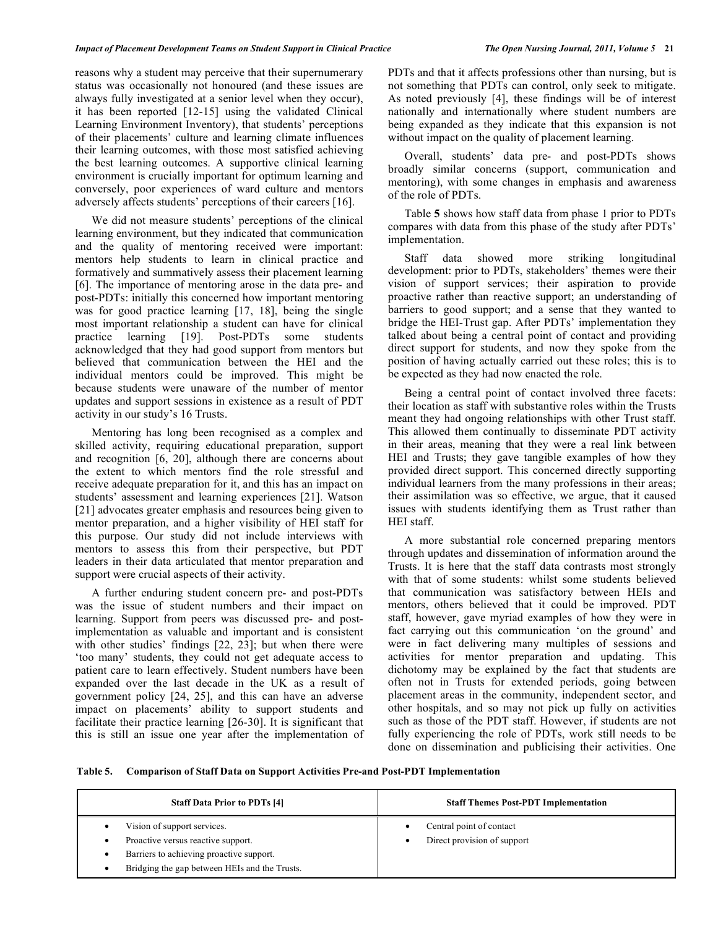#### *Impact of Placement Development Teams on Student Support in Clinical Practice The Open Nursing Journal, 2011, Volume 5* **21**

reasons why a student may perceive that their supernumerary status was occasionally not honoured (and these issues are always fully investigated at a senior level when they occur), it has been reported [12-15] using the validated Clinical Learning Environment Inventory), that students' perceptions of their placements' culture and learning climate influences their learning outcomes, with those most satisfied achieving the best learning outcomes. A supportive clinical learning environment is crucially important for optimum learning and conversely, poor experiences of ward culture and mentors adversely affects students' perceptions of their careers [16].

 We did not measure students' perceptions of the clinical learning environment, but they indicated that communication and the quality of mentoring received were important: mentors help students to learn in clinical practice and formatively and summatively assess their placement learning [6]. The importance of mentoring arose in the data pre- and post-PDTs: initially this concerned how important mentoring was for good practice learning [17, 18], being the single most important relationship a student can have for clinical practice learning [19]. Post-PDTs some students acknowledged that they had good support from mentors but believed that communication between the HEI and the individual mentors could be improved. This might be because students were unaware of the number of mentor updates and support sessions in existence as a result of PDT activity in our study's 16 Trusts.

 Mentoring has long been recognised as a complex and skilled activity, requiring educational preparation, support and recognition [6, 20], although there are concerns about the extent to which mentors find the role stressful and receive adequate preparation for it, and this has an impact on students' assessment and learning experiences [21]. Watson [21] advocates greater emphasis and resources being given to mentor preparation, and a higher visibility of HEI staff for this purpose. Our study did not include interviews with mentors to assess this from their perspective, but PDT leaders in their data articulated that mentor preparation and support were crucial aspects of their activity.

 A further enduring student concern pre- and post-PDTs was the issue of student numbers and their impact on learning. Support from peers was discussed pre- and postimplementation as valuable and important and is consistent with other studies' findings [22, 23]; but when there were 'too many' students, they could not get adequate access to patient care to learn effectively. Student numbers have been expanded over the last decade in the UK as a result of government policy [24, 25], and this can have an adverse impact on placements' ability to support students and facilitate their practice learning [26-30]. It is significant that this is still an issue one year after the implementation of PDTs and that it affects professions other than nursing, but is not something that PDTs can control, only seek to mitigate. As noted previously [4], these findings will be of interest nationally and internationally where student numbers are being expanded as they indicate that this expansion is not without impact on the quality of placement learning.

 Overall, students' data pre- and post-PDTs shows broadly similar concerns (support, communication and mentoring), with some changes in emphasis and awareness of the role of PDTs.

 Table **5** shows how staff data from phase 1 prior to PDTs compares with data from this phase of the study after PDTs' implementation.

 Staff data showed more striking longitudinal development: prior to PDTs, stakeholders' themes were their vision of support services; their aspiration to provide proactive rather than reactive support; an understanding of barriers to good support; and a sense that they wanted to bridge the HEI-Trust gap. After PDTs' implementation they talked about being a central point of contact and providing direct support for students, and now they spoke from the position of having actually carried out these roles; this is to be expected as they had now enacted the role.

 Being a central point of contact involved three facets: their location as staff with substantive roles within the Trusts meant they had ongoing relationships with other Trust staff. This allowed them continually to disseminate PDT activity in their areas, meaning that they were a real link between HEI and Trusts; they gave tangible examples of how they provided direct support. This concerned directly supporting individual learners from the many professions in their areas; their assimilation was so effective, we argue, that it caused issues with students identifying them as Trust rather than HEI staff.

 A more substantial role concerned preparing mentors through updates and dissemination of information around the Trusts. It is here that the staff data contrasts most strongly with that of some students: whilst some students believed that communication was satisfactory between HEIs and mentors, others believed that it could be improved. PDT staff, however, gave myriad examples of how they were in fact carrying out this communication 'on the ground' and were in fact delivering many multiples of sessions and activities for mentor preparation and updating. This dichotomy may be explained by the fact that students are often not in Trusts for extended periods, going between placement areas in the community, independent sector, and other hospitals, and so may not pick up fully on activities such as those of the PDT staff. However, if students are not fully experiencing the role of PDTs, work still needs to be done on dissemination and publicising their activities. One

**Table 5. Comparison of Staff Data on Support Activities Pre-and Post-PDT Implementation** 

| <b>Staff Data Prior to PDTs [4]</b>                                                                                                                            | <b>Staff Themes Post-PDT Implementation</b>             |
|----------------------------------------------------------------------------------------------------------------------------------------------------------------|---------------------------------------------------------|
| Vision of support services.<br>Proactive versus reactive support.<br>Barriers to achieving proactive support.<br>Bridging the gap between HEIs and the Trusts. | Central point of contact<br>Direct provision of support |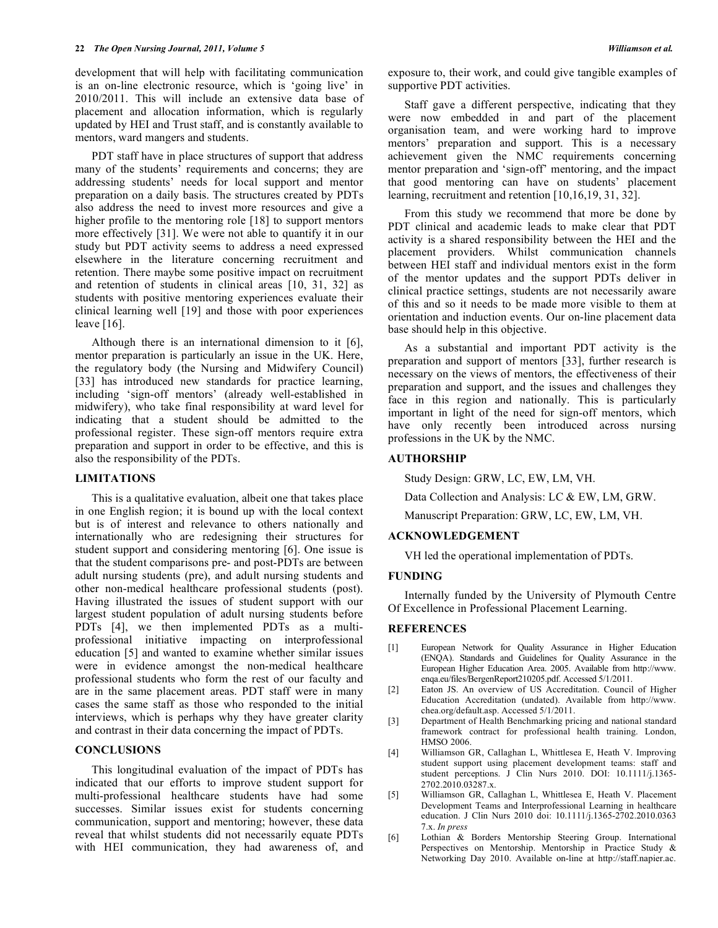development that will help with facilitating communication is an on-line electronic resource, which is 'going live' in 2010/2011. This will include an extensive data base of placement and allocation information, which is regularly updated by HEI and Trust staff, and is constantly available to mentors, ward mangers and students.

 PDT staff have in place structures of support that address many of the students' requirements and concerns; they are addressing students' needs for local support and mentor preparation on a daily basis. The structures created by PDTs also address the need to invest more resources and give a higher profile to the mentoring role [18] to support mentors more effectively [31]. We were not able to quantify it in our study but PDT activity seems to address a need expressed elsewhere in the literature concerning recruitment and retention. There maybe some positive impact on recruitment and retention of students in clinical areas [10, 31, 32] as students with positive mentoring experiences evaluate their clinical learning well [19] and those with poor experiences leave [16].

 Although there is an international dimension to it [6], mentor preparation is particularly an issue in the UK. Here, the regulatory body (the Nursing and Midwifery Council) [33] has introduced new standards for practice learning, including 'sign-off mentors' (already well-established in midwifery), who take final responsibility at ward level for indicating that a student should be admitted to the professional register. These sign-off mentors require extra preparation and support in order to be effective, and this is also the responsibility of the PDTs.

## **LIMITATIONS**

 This is a qualitative evaluation, albeit one that takes place in one English region; it is bound up with the local context but is of interest and relevance to others nationally and internationally who are redesigning their structures for student support and considering mentoring [6]. One issue is that the student comparisons pre- and post-PDTs are between adult nursing students (pre), and adult nursing students and other non-medical healthcare professional students (post). Having illustrated the issues of student support with our largest student population of adult nursing students before PDTs [4], we then implemented PDTs as a multiprofessional initiative impacting on interprofessional education [5] and wanted to examine whether similar issues were in evidence amongst the non-medical healthcare professional students who form the rest of our faculty and are in the same placement areas. PDT staff were in many cases the same staff as those who responded to the initial interviews, which is perhaps why they have greater clarity and contrast in their data concerning the impact of PDTs.

## **CONCLUSIONS**

 This longitudinal evaluation of the impact of PDTs has indicated that our efforts to improve student support for multi-professional healthcare students have had some successes. Similar issues exist for students concerning communication, support and mentoring; however, these data reveal that whilst students did not necessarily equate PDTs with HEI communication, they had awareness of, and

exposure to, their work, and could give tangible examples of supportive PDT activities.

 Staff gave a different perspective, indicating that they were now embedded in and part of the placement organisation team, and were working hard to improve mentors' preparation and support. This is a necessary achievement given the NMC requirements concerning mentor preparation and 'sign-off' mentoring, and the impact that good mentoring can have on students' placement learning, recruitment and retention [10,16,19, 31, 32].

 From this study we recommend that more be done by PDT clinical and academic leads to make clear that PDT activity is a shared responsibility between the HEI and the placement providers. Whilst communication channels between HEI staff and individual mentors exist in the form of the mentor updates and the support PDTs deliver in clinical practice settings, students are not necessarily aware of this and so it needs to be made more visible to them at orientation and induction events. Our on-line placement data base should help in this objective.

 As a substantial and important PDT activity is the preparation and support of mentors [33], further research is necessary on the views of mentors, the effectiveness of their preparation and support, and the issues and challenges they face in this region and nationally. This is particularly important in light of the need for sign-off mentors, which have only recently been introduced across nursing professions in the UK by the NMC.

#### **AUTHORSHIP**

Study Design: GRW, LC, EW, LM, VH.

Data Collection and Analysis: LC & EW, LM, GRW.

Manuscript Preparation: GRW, LC, EW, LM, VH.

#### **ACKNOWLEDGEMENT**

VH led the operational implementation of PDTs.

## **FUNDING**

 Internally funded by the University of Plymouth Centre Of Excellence in Professional Placement Learning.

#### **REFERENCES**

- [1] European Network for Quality Assurance in Higher Education (ENQA). Standards and Guidelines for Quality Assurance in the European Higher Education Area. 2005. Available from http://www. enqa.eu/files/BergenReport210205.pdf. Accessed 5/1/2011.
- [2] Eaton JS. An overview of US Accreditation. Council of Higher Education Accreditation (undated). Available from http://www. chea.org/default.asp. Accessed 5/1/2011.
- [3] Department of Health Benchmarking pricing and national standard framework contract for professional health training. London, HMSO 2006.
- [4] Williamson GR, Callaghan L, Whittlesea E, Heath V. Improving student support using placement development teams: staff and student perceptions. J Clin Nurs 2010. DOI: 10.1111/j.1365- 2702.2010.03287.x.
- [5] Williamson GR, Callaghan L, Whittlesea E, Heath V. Placement Development Teams and Interprofessional Learning in healthcare education. J Clin Nurs 2010 doi: 10.1111/j.1365-2702.2010.0363 7.x. *In press*
- [6] Lothian & Borders Mentorship Steering Group. International Perspectives on Mentorship. Mentorship in Practice Study & Networking Day 2010. Available on-line at http://staff.napier.ac.